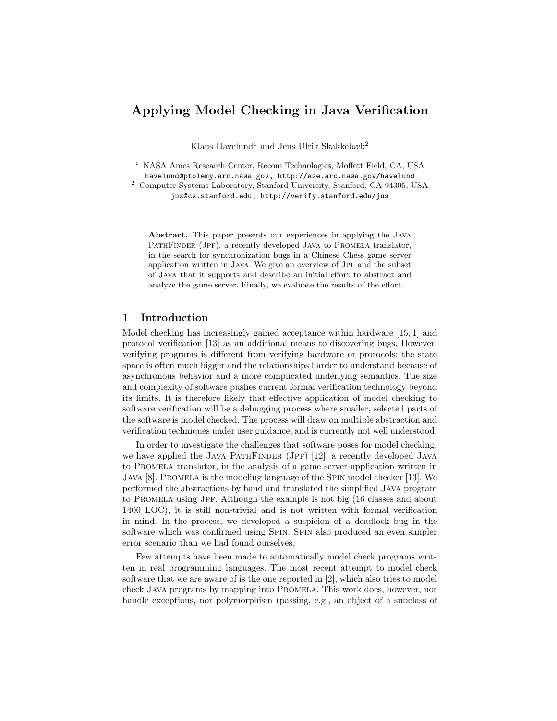# **Applying Model Checking in Java Verification**

Klaus Havelund<sup>1</sup> and Jens Ulrik Skakkebæk<sup>2</sup>

<sup>1</sup> NASA Ames Research Center, Recom Technologies, Moffett Field, CA, USA havelund@ptolemy.arc.nasa.gov, http://ase.arc.nasa.gov/havelund

<sup>2</sup> Computer Systems Laboratory, Stanford University, Stanford, CA 94305, USA

jus@cs.stanford.edu, http://verify.stanford.edu/jus

**Abstract.** This paper presents our experiences in applying the Java PATHFINDER (JPF), a recently developed JAVA to PROMELA translator, in the search for synchronization bugs in a Chinese Chess game server application written in JAVA. We give an overview of JPF and the subset of Java that it supports and describe an initial effort to abstract and analyze the game server. Finally, we evaluate the results of the effort.

### **1 Introduction**

Model checking has increasingly gained acceptance within hardware [15, 1] and protocol verification [13] as an additional means to discovering bugs. However, verifying programs is different from verifying hardware or protocols: the state space is often much bigger and the relationships harder to understand because of asynchronous behavior and a more complicated underlying semantics. The size and complexity of software pushes current formal verification technology beyond its limits. It is therefore likely that effective application of model checking to software verification will be a debugging process where smaller, selected parts of the software is model checked. The process will draw on multiple abstraction and verification techniques under user guidance, and is currently not well understood.

In order to investigate the challenges that software poses for model checking, we have applied the JAVA PATHFINDER  $(JPF)$  [12], a recently developed JAVA to Promela translator, in the analysis of a game server application written in Java [8]. Promela is the modeling language of the Spin model checker [13]. We performed the abstractions by hand and translated the simplified Java program to Promela using Jpf. Although the example is not big (16 classes and about 1400 LOC), it is still non-trivial and is not written with formal verification in mind. In the process, we developed a suspicion of a deadlock bug in the software which was confirmed using Spin. Spin also produced an even simpler error scenario than we had found ourselves.

Few attempts have been made to automatically model check programs written in real programming languages. The most recent attempt to model check software that we are aware of is the one reported in [2], which also tries to model check Java programs by mapping into Promela. This work does, however, not handle exceptions, nor polymorphism (passing, e.g., an object of a subclass of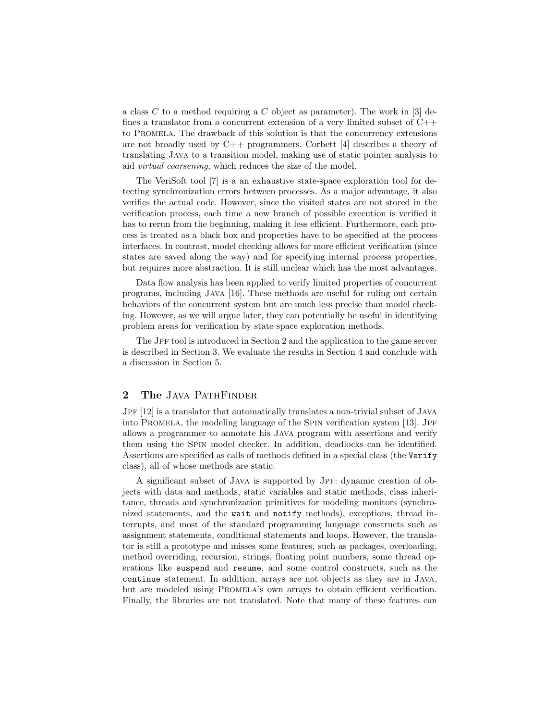a class  $C$  to a method requiring a  $C$  object as parameter). The work in [3] defines a translator from a concurrent extension of a very limited subset of  $C_{++}$ to Promela. The drawback of this solution is that the concurrency extensions are not broadly used by  $C_{++}$  programmers. Corbett [4] describes a theory of translating Java to a transition model, making use of static pointer analysis to aid virtual coarsening, which reduces the size of the model.

The VeriSoft tool [7] is a an exhaustive state-space exploration tool for detecting synchronization errors between processes. As a major advantage, it also verifies the actual code. However, since the visited states are not stored in the verification process, each time a new branch of possible execution is verified it has to rerun from the beginning, making it less efficient. Furthermore, each process is treated as a black box and properties have to be specified at the process interfaces. In contrast, model checking allows for more efficient verification (since states are saved along the way) and for specifying internal process properties, but requires more abstraction. It is still unclear which has the most advantages.

Data flow analysis has been applied to verify limited properties of concurrent programs, including Java [16]. These methods are useful for ruling out certain behaviors of the concurrent system but are much less precise than model checking. However, as we will argue later, they can potentially be useful in identifying problem areas for verification by state space exploration methods.

The JPF tool is introduced in Section 2 and the application to the game server is described in Section 3. We evaluate the results in Section 4 and conclude with a discussion in Section 5.

#### 2 The JAVA PATHFINDER

Jpf [12] is a translator that automatically translates a non-trivial subset of Java into PROMELA, the modeling language of the SPIN verification system [13]. JPF allows a programmer to annotate his Java program with assertions and verify them using the Spin model checker. In addition, deadlocks can be identified. Assertions are specified as calls of methods defined in a special class (the Verify class), all of whose methods are static.

A significant subset of Java is supported by Jpf: dynamic creation of objects with data and methods, static variables and static methods, class inheritance, threads and synchronization primitives for modeling monitors (synchronized statements, and the wait and notify methods), exceptions, thread interrupts, and most of the standard programming language constructs such as assignment statements, conditional statements and loops. However, the translator is still a prototype and misses some features, such as packages, overloading, method overriding, recursion, strings, floating point numbers, some thread operations like suspend and resume, and some control constructs, such as the continue statement. In addition, arrays are not objects as they are in Java, but are modeled using PROMELA's own arrays to obtain efficient verification. Finally, the libraries are not translated. Note that many of these features can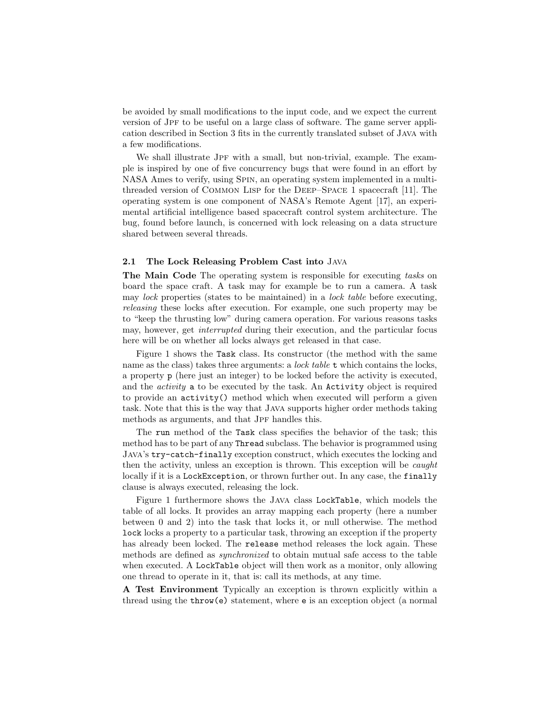be avoided by small modifications to the input code, and we expect the current version of Jpf to be useful on a large class of software. The game server application described in Section 3 fits in the currently translated subset of Java with a few modifications.

We shall illustrate JPF with a small, but non-trivial, example. The example is inspired by one of five concurrency bugs that were found in an effort by NASA Ames to verify, using Spin, an operating system implemented in a multithreaded version of Common Lisp for the Deep–Space 1 spacecraft [11]. The operating system is one component of NASA's Remote Agent [17], an experimental artificial intelligence based spacecraft control system architecture. The bug, found before launch, is concerned with lock releasing on a data structure shared between several threads.

#### **2.1 The Lock Releasing Problem Cast into** Java

**The Main Code** The operating system is responsible for executing tasks on board the space craft. A task may for example be to run a camera. A task may lock properties (states to be maintained) in a lock table before executing, releasing these locks after execution. For example, one such property may be to "keep the thrusting low" during camera operation. For various reasons tasks may, however, get interrupted during their execution, and the particular focus here will be on whether all locks always get released in that case.

Figure 1 shows the Task class. Its constructor (the method with the same name as the class) takes three arguments: a *lock table* t which contains the locks, a property p (here just an integer) to be locked before the activity is executed, and the activity a to be executed by the task. An Activity object is required to provide an activity() method which when executed will perform a given task. Note that this is the way that Java supports higher order methods taking methods as arguments, and that JPF handles this.

The run method of the Task class specifies the behavior of the task; this method has to be part of any Thread subclass. The behavior is programmed using Java's try-catch-finally exception construct, which executes the locking and then the activity, unless an exception is thrown. This exception will be caught locally if it is a LockException, or thrown further out. In any case, the finally clause is always executed, releasing the lock.

Figure 1 furthermore shows the Java class LockTable, which models the table of all locks. It provides an array mapping each property (here a number between 0 and 2) into the task that locks it, or null otherwise. The method lock locks a property to a particular task, throwing an exception if the property has already been locked. The release method releases the lock again. These methods are defined as synchronized to obtain mutual safe access to the table when executed. A LockTable object will then work as a monitor, only allowing one thread to operate in it, that is: call its methods, at any time.

**A Test Environment** Typically an exception is thrown explicitly within a thread using the throw(e) statement, where e is an exception object (a normal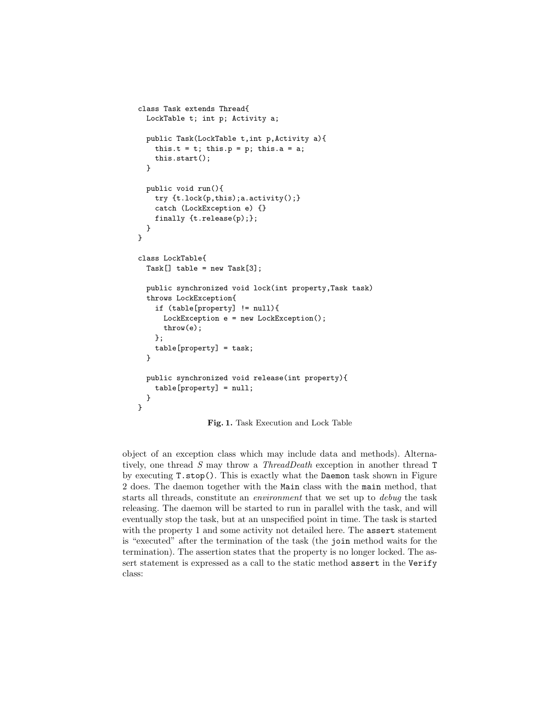```
class Task extends Thread{
  LockTable t; int p; Activity a;
 public Task(LockTable t,int p,Activity a){
    this.t = t; this.p = p; this.a = a;
    this.start();
  }
 public void run(){
    try {t.lock(p,this);a.activity();}
    catch (LockException e) {}
    finally {t.release(p);};
  }
}
class LockTable{
 Task[] table = new Task[3];
 public synchronized void lock(int property,Task task)
 throws LockException{
    if (table[property] != null){
      LockException e = new LockException();
      throw(e);
    };
    table[property] = task;
  }
  public synchronized void release(int property){
    table[property] = null;
 }
}
                Fig. 1. Task Execution and Lock Table
```
object of an exception class which may include data and methods). Alternatively, one thread S may throw a ThreadDeath exception in another thread T by executing T.stop(). This is exactly what the Daemon task shown in Figure 2 does. The daemon together with the Main class with the main method, that starts all threads, constitute an environment that we set up to debug the task releasing. The daemon will be started to run in parallel with the task, and will eventually stop the task, but at an unspecified point in time. The task is started with the property 1 and some activity not detailed here. The assert statement is "executed" after the termination of the task (the join method waits for the termination). The assertion states that the property is no longer locked. The assert statement is expressed as a call to the static method assert in the Verify class: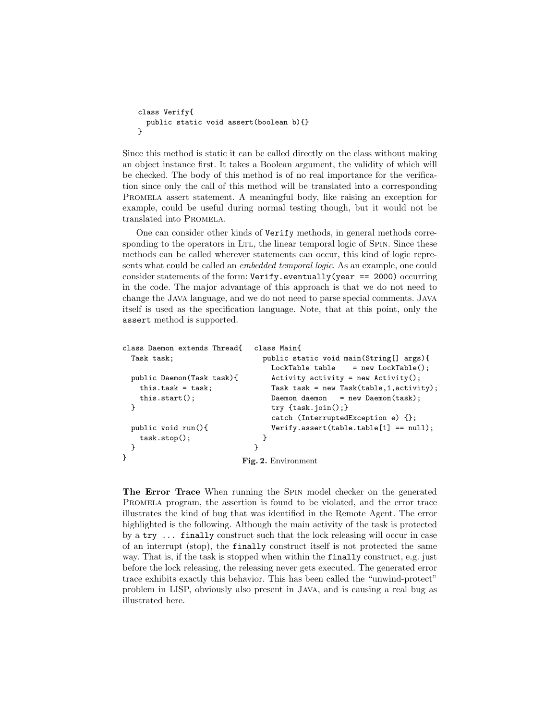```
class Verify{
 public static void assert(boolean b){}
}
```
Since this method is static it can be called directly on the class without making an object instance first. It takes a Boolean argument, the validity of which will be checked. The body of this method is of no real importance for the verification since only the call of this method will be translated into a corresponding Promela assert statement. A meaningful body, like raising an exception for example, could be useful during normal testing though, but it would not be translated into Promela.

One can consider other kinds of Verify methods, in general methods corresponding to the operators in LTL, the linear temporal logic of SPIN. Since these methods can be called wherever statements can occur, this kind of logic represents what could be called an embedded temporal logic. As an example, one could consider statements of the form: Verify.eventually(year == 2000) occurring in the code. The major advantage of this approach is that we do not need to change the Java language, and we do not need to parse special comments. Java itself is used as the specification language. Note, that at this point, only the assert method is supported.

```
class Daemon extends Thread{
  Task task;
  public Daemon(Task task){
    this.task = task;this.start();
  }
  public void run(){
    task.stop();
  }
}
                                  class Main{
                                    public static void main(String[] args){
                                       LockTable table = new LockTable();
                                       Activity activity = new Activity();
                                       Task task = new Task(table,1,activity);
                                       Daemon</math> <math>daemon</math> <math>= new</math> <math>Daemon(task)</math>;try {task.join();}
                                       catch (InterruptedException e) {};
                                      Verify.assert(table.table[1] == null);
                                    }
                                  }
                               Fig. 2. Environment
```
**The Error Trace** When running the Spin model checker on the generated Promela program, the assertion is found to be violated, and the error trace illustrates the kind of bug that was identified in the Remote Agent. The error highlighted is the following. Although the main activity of the task is protected by a try ... finally construct such that the lock releasing will occur in case of an interrupt (stop), the finally construct itself is not protected the same way. That is, if the task is stopped when within the finally construct, e.g. just before the lock releasing, the releasing never gets executed. The generated error trace exhibits exactly this behavior. This has been called the "unwind-protect" problem in LISP, obviously also present in Java, and is causing a real bug as illustrated here.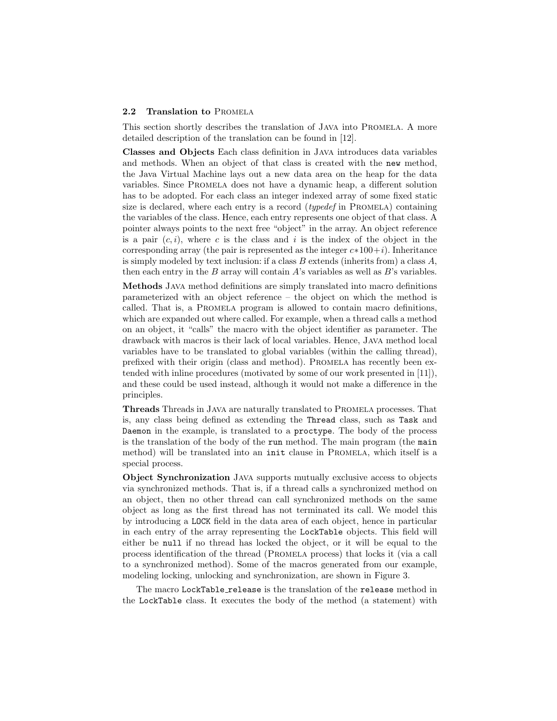### **2.2 Translation to** Promela

This section shortly describes the translation of Java into Promela. A more detailed description of the translation can be found in [12].

**Classes and Objects** Each class definition in Java introduces data variables and methods. When an object of that class is created with the new method, the Java Virtual Machine lays out a new data area on the heap for the data variables. Since Promela does not have a dynamic heap, a different solution has to be adopted. For each class an integer indexed array of some fixed static size is declared, where each entry is a record  $(typedef$  in PROMELA) containing the variables of the class. Hence, each entry represents one object of that class. A pointer always points to the next free "object" in the array. An object reference is a pair  $(c, i)$ , where c is the class and i is the index of the object in the corresponding array (the pair is represented as the integer  $c*100+i$ ). Inheritance is simply modeled by text inclusion: if a class  $B$  extends (inherits from) a class  $A$ , then each entry in the  $B$  array will contain  $A$ 's variables as well as  $B$ 's variables.

**Methods** Java method definitions are simply translated into macro definitions parameterized with an object reference – the object on which the method is called. That is, a Promela program is allowed to contain macro definitions, which are expanded out where called. For example, when a thread calls a method on an object, it "calls" the macro with the object identifier as parameter. The drawback with macros is their lack of local variables. Hence, Java method local variables have to be translated to global variables (within the calling thread), prefixed with their origin (class and method). Promela has recently been extended with inline procedures (motivated by some of our work presented in [11]), and these could be used instead, although it would not make a difference in the principles.

**Threads** Threads in Java are naturally translated to Promela processes. That is, any class being defined as extending the Thread class, such as Task and Daemon in the example, is translated to a proctype. The body of the process is the translation of the body of the run method. The main program (the main method) will be translated into an init clause in PROMELA, which itself is a special process.

**Object Synchronization** JAVA supports mutually exclusive access to objects via synchronized methods. That is, if a thread calls a synchronized method on an object, then no other thread can call synchronized methods on the same object as long as the first thread has not terminated its call. We model this by introducing a LOCK field in the data area of each object, hence in particular in each entry of the array representing the LockTable objects. This field will either be null if no thread has locked the object, or it will be equal to the process identification of the thread (Promela process) that locks it (via a call to a synchronized method). Some of the macros generated from our example, modeling locking, unlocking and synchronization, are shown in Figure 3.

The macro LockTable release is the translation of the release method in the LockTable class. It executes the body of the method (a statement) with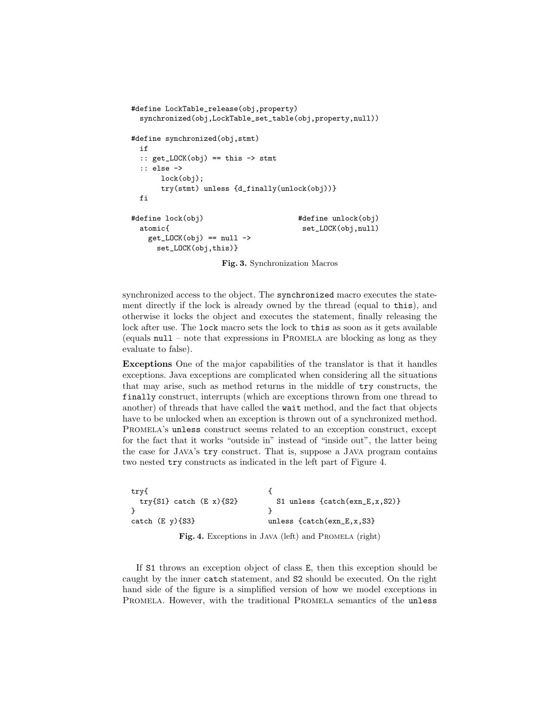```
#define LockTable_release(obj,property)
 synchronized(obj,LockTable_set_table(obj,property,null))
#define synchronized(obj,stmt)
 if
 :: get_LOCK(obj) == this -> stmt
 :: else ->
      lock(obj);
      try(stmt) unless {d_finally(unlock(obj))}
 fi
#define lock(obj) #define unlock(obj)
 atomic{<br>
set_LOCK(obj,null)
   get\_LACK(obj) == null ->set_LOCK(obj,this)}
```
**Fig. 3.** Synchronization Macros

synchronized access to the object. The synchronized macro executes the statement directly if the lock is already owned by the thread (equal to this), and otherwise it locks the object and executes the statement, finally releasing the lock after use. The lock macro sets the lock to this as soon as it gets available (equals null – note that expressions in Promela are blocking as long as they evaluate to false).

**Exceptions** One of the major capabilities of the translator is that it handles exceptions. Java exceptions are complicated when considering all the situations that may arise, such as method returns in the middle of try constructs, the finally construct, interrupts (which are exceptions thrown from one thread to another) of threads that have called the wait method, and the fact that objects have to be unlocked when an exception is thrown out of a synchronized method. Promela's unless construct seems related to an exception construct, except for the fact that it works "outside in" instead of "inside out", the latter being the case for Java's try construct. That is, suppose a Java program contains two nested try constructs as indicated in the left part of Figure 4.

```
try{ {
 try\{S1\} catch (E \times \{S2\}) S1 unless \{catch(exp_E, x, S2)\}} }
catch (E y){S3} unless {catch(exn_E,x,S3}
```
Fig. 4. Exceptions in JAVA (left) and PROMELA (right)

If S1 throws an exception object of class E, then this exception should be caught by the inner catch statement, and S2 should be executed. On the right hand side of the figure is a simplified version of how we model exceptions in Promela. However, with the traditional Promela semantics of the unless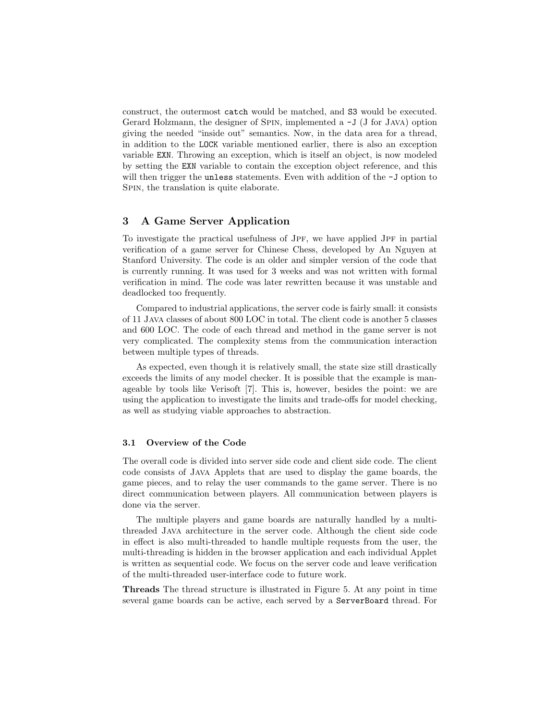construct, the outermost catch would be matched, and S3 would be executed. Gerard Holzmann, the designer of Spin, implemented a -J (J for Java) option giving the needed "inside out" semantics. Now, in the data area for a thread, in addition to the LOCK variable mentioned earlier, there is also an exception variable EXN. Throwing an exception, which is itself an object, is now modeled by setting the EXN variable to contain the exception object reference, and this will then trigger the unless statements. Even with addition of the  $-J$  option to Spin, the translation is quite elaborate.

### **3 A Game Server Application**

To investigate the practical usefulness of Jpf, we have applied Jpf in partial verification of a game server for Chinese Chess, developed by An Nguyen at Stanford University. The code is an older and simpler version of the code that is currently running. It was used for 3 weeks and was not written with formal verification in mind. The code was later rewritten because it was unstable and deadlocked too frequently.

Compared to industrial applications, the server code is fairly small: it consists of 11 Java classes of about 800 LOC in total. The client code is another 5 classes and 600 LOC. The code of each thread and method in the game server is not very complicated. The complexity stems from the communication interaction between multiple types of threads.

As expected, even though it is relatively small, the state size still drastically exceeds the limits of any model checker. It is possible that the example is manageable by tools like Verisoft [7]. This is, however, besides the point: we are using the application to investigate the limits and trade-offs for model checking, as well as studying viable approaches to abstraction.

#### **3.1 Overview of the Code**

The overall code is divided into server side code and client side code. The client code consists of Java Applets that are used to display the game boards, the game pieces, and to relay the user commands to the game server. There is no direct communication between players. All communication between players is done via the server.

The multiple players and game boards are naturally handled by a multithreaded Java architecture in the server code. Although the client side code in effect is also multi-threaded to handle multiple requests from the user, the multi-threading is hidden in the browser application and each individual Applet is written as sequential code. We focus on the server code and leave verification of the multi-threaded user-interface code to future work.

**Threads** The thread structure is illustrated in Figure 5. At any point in time several game boards can be active, each served by a ServerBoard thread. For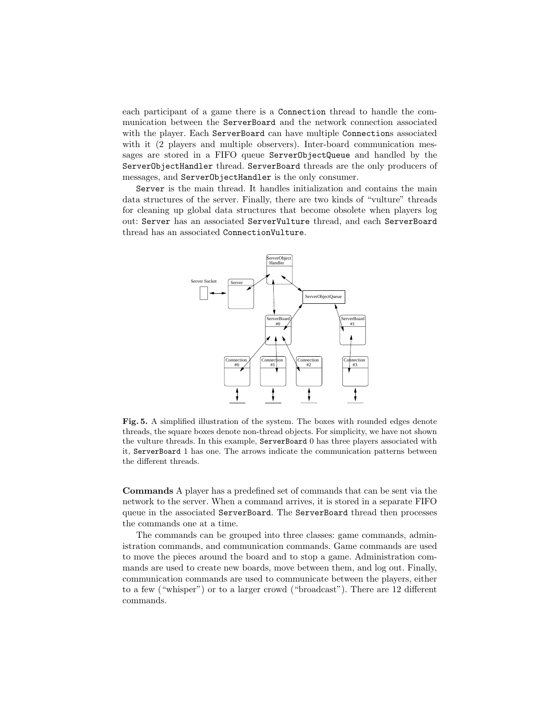each participant of a game there is a Connection thread to handle the communication between the ServerBoard and the network connection associated with the player. Each ServerBoard can have multiple Connections associated with it (2 players and multiple observers). Inter-board communication messages are stored in a FIFO queue ServerObjectQueue and handled by the ServerObjectHandler thread. ServerBoard threads are the only producers of messages, and ServerObjectHandler is the only consumer.

Server is the main thread. It handles initialization and contains the main data structures of the server. Finally, there are two kinds of "vulture" threads for cleaning up global data structures that become obsolete when players log out: Server has an associated ServerVulture thread, and each ServerBoard thread has an associated ConnectionVulture.



**Fig. 5.** A simplified illustration of the system. The boxes with rounded edges denote threads, the square boxes denote non-thread objects. For simplicity, we have not shown the vulture threads. In this example, ServerBoard 0 has three players associated with it, ServerBoard 1 has one. The arrows indicate the communication patterns between the different threads.

**Commands** A player has a predefined set of commands that can be sent via the network to the server. When a command arrives, it is stored in a separate FIFO queue in the associated ServerBoard. The ServerBoard thread then processes the commands one at a time.

The commands can be grouped into three classes: game commands, administration commands, and communication commands. Game commands are used to move the pieces around the board and to stop a game. Administration commands are used to create new boards, move between them, and log out. Finally, communication commands are used to communicate between the players, either to a few ("whisper") or to a larger crowd ("broadcast"). There are 12 different commands.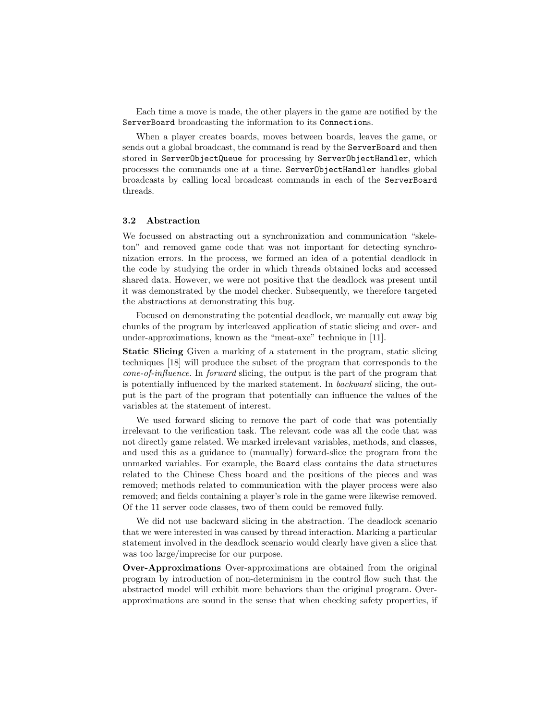Each time a move is made, the other players in the game are notified by the ServerBoard broadcasting the information to its Connections.

When a player creates boards, moves between boards, leaves the game, or sends out a global broadcast, the command is read by the ServerBoard and then stored in ServerObjectQueue for processing by ServerObjectHandler, which processes the commands one at a time. ServerObjectHandler handles global broadcasts by calling local broadcast commands in each of the ServerBoard threads.

#### **3.2 Abstraction**

We focussed on abstracting out a synchronization and communication "skeleton" and removed game code that was not important for detecting synchronization errors. In the process, we formed an idea of a potential deadlock in the code by studying the order in which threads obtained locks and accessed shared data. However, we were not positive that the deadlock was present until it was demonstrated by the model checker. Subsequently, we therefore targeted the abstractions at demonstrating this bug.

Focused on demonstrating the potential deadlock, we manually cut away big chunks of the program by interleaved application of static slicing and over- and under-approximations, known as the "meat-axe" technique in [11].

**Static Slicing** Given a marking of a statement in the program, static slicing techniques [18] will produce the subset of the program that corresponds to the cone-of-influence. In forward slicing, the output is the part of the program that is potentially influenced by the marked statement. In *backward* slicing, the output is the part of the program that potentially can influence the values of the variables at the statement of interest.

We used forward slicing to remove the part of code that was potentially irrelevant to the verification task. The relevant code was all the code that was not directly game related. We marked irrelevant variables, methods, and classes, and used this as a guidance to (manually) forward-slice the program from the unmarked variables. For example, the Board class contains the data structures related to the Chinese Chess board and the positions of the pieces and was removed; methods related to communication with the player process were also removed; and fields containing a player's role in the game were likewise removed. Of the 11 server code classes, two of them could be removed fully.

We did not use backward slicing in the abstraction. The deadlock scenario that we were interested in was caused by thread interaction. Marking a particular statement involved in the deadlock scenario would clearly have given a slice that was too large/imprecise for our purpose.

**Over-Approximations** Over-approximations are obtained from the original program by introduction of non-determinism in the control flow such that the abstracted model will exhibit more behaviors than the original program. Overapproximations are sound in the sense that when checking safety properties, if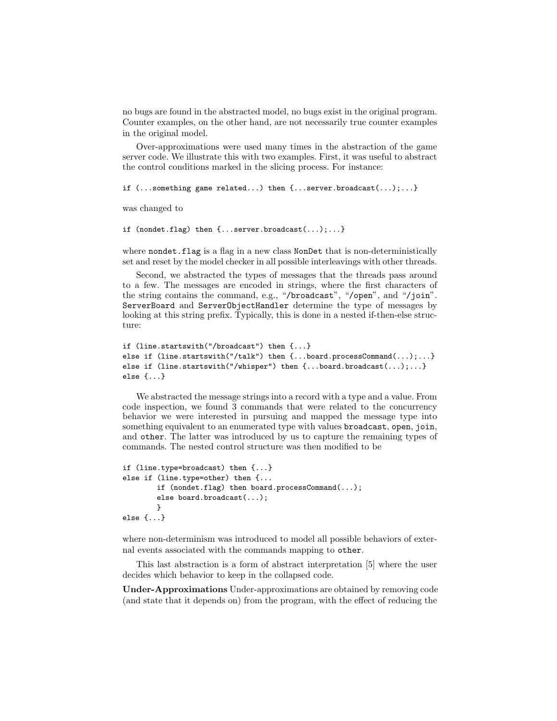no bugs are found in the abstracted model, no bugs exist in the original program. Counter examples, on the other hand, are not necessarily true counter examples in the original model.

Over-approximations were used many times in the abstraction of the game server code. We illustrate this with two examples. First, it was useful to abstract the control conditions marked in the slicing process. For instance:

if (...something game related...) then {...server.broadcast(...);...}

was changed to

```
if (nondet.flag) then {...server.broadcast(...);...}
```
where nondet.flag is a flag in a new class NonDet that is non-deterministically set and reset by the model checker in all possible interleavings with other threads.

Second, we abstracted the types of messages that the threads pass around to a few. The messages are encoded in strings, where the first characters of the string contains the command, e.g., "/broadcast", "/open", and "/join". ServerBoard and ServerObjectHandler determine the type of messages by looking at this string prefix. Typically, this is done in a nested if-then-else structure:

```
if (line.startswith("/broadcast") then {...}
else if (line.startswith("/talk") then {...board.processCommand(...);...}
else if (line.startswith("/whisper") then {...board.broadcast(...);...}
else {...}
```
We abstracted the message strings into a record with a type and a value. From code inspection, we found 3 commands that were related to the concurrency behavior we were interested in pursuing and mapped the message type into something equivalent to an enumerated type with values broadcast, open, join, and other. The latter was introduced by us to capture the remaining types of commands. The nested control structure was then modified to be

```
if (line.type=broadcast) then {...}
else if (line.type=other) then {...
        if (nondet.flag) then board.processCommand(...);
        else board.broadcast(...);
        }
else {...}
```
where non-determinism was introduced to model all possible behaviors of external events associated with the commands mapping to other.

This last abstraction is a form of abstract interpretation [5] where the user decides which behavior to keep in the collapsed code.

**Under-Approximations** Under-approximations are obtained by removing code (and state that it depends on) from the program, with the effect of reducing the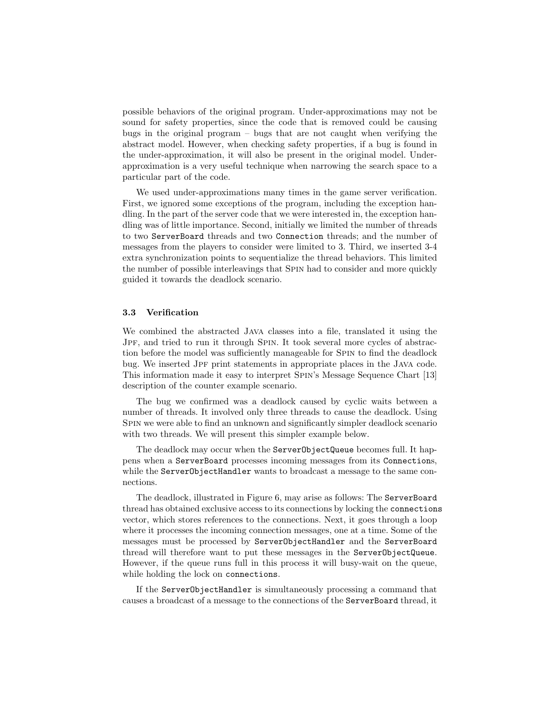possible behaviors of the original program. Under-approximations may not be sound for safety properties, since the code that is removed could be causing bugs in the original program – bugs that are not caught when verifying the abstract model. However, when checking safety properties, if a bug is found in the under-approximation, it will also be present in the original model. Underapproximation is a very useful technique when narrowing the search space to a particular part of the code.

We used under-approximations many times in the game server verification. First, we ignored some exceptions of the program, including the exception handling. In the part of the server code that we were interested in, the exception handling was of little importance. Second, initially we limited the number of threads to two ServerBoard threads and two Connection threads; and the number of messages from the players to consider were limited to 3. Third, we inserted 3-4 extra synchronization points to sequentialize the thread behaviors. This limited the number of possible interleavings that Spin had to consider and more quickly guided it towards the deadlock scenario.

#### **3.3 Verification**

We combined the abstracted Java classes into a file, translated it using the JPF, and tried to run it through SPIN. It took several more cycles of abstraction before the model was sufficiently manageable for Spin to find the deadlock bug. We inserted JPF print statements in appropriate places in the JAVA code. This information made it easy to interpret Spin's Message Sequence Chart [13] description of the counter example scenario.

The bug we confirmed was a deadlock caused by cyclic waits between a number of threads. It involved only three threads to cause the deadlock. Using Spin we were able to find an unknown and significantly simpler deadlock scenario with two threads. We will present this simpler example below.

The deadlock may occur when the ServerObjectQueue becomes full. It happens when a ServerBoard processes incoming messages from its Connections, while the ServerObjectHandler wants to broadcast a message to the same connections.

The deadlock, illustrated in Figure 6, may arise as follows: The ServerBoard thread has obtained exclusive access to its connections by locking the connections vector, which stores references to the connections. Next, it goes through a loop where it processes the incoming connection messages, one at a time. Some of the messages must be processed by ServerObjectHandler and the ServerBoard thread will therefore want to put these messages in the ServerObjectQueue. However, if the queue runs full in this process it will busy-wait on the queue, while holding the lock on connections.

If the ServerObjectHandler is simultaneously processing a command that causes a broadcast of a message to the connections of the ServerBoard thread, it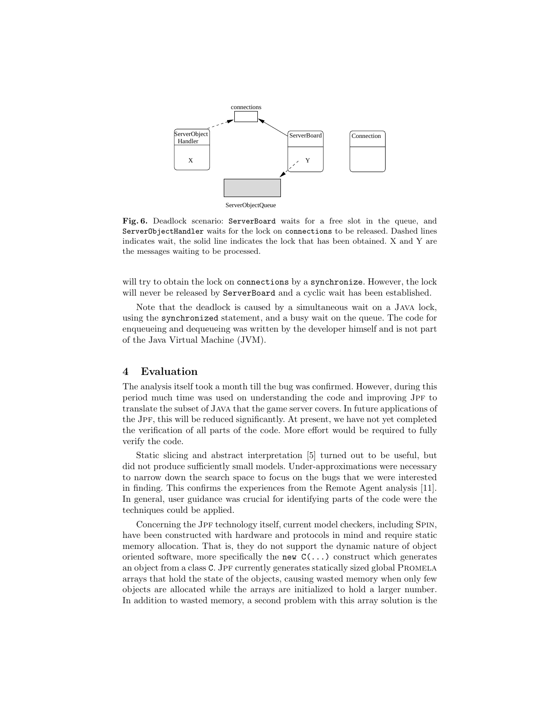

Fig. 6. Deadlock scenario: ServerBoard waits for a free slot in the queue, and ServerObjectHandler waits for the lock on connections to be released. Dashed lines indicates wait, the solid line indicates the lock that has been obtained. X and Y are the messages waiting to be processed.

will try to obtain the lock on connections by a synchronize. However, the lock will never be released by **ServerBoard** and a cyclic wait has been established.

Note that the deadlock is caused by a simultaneous wait on a Java lock, using the synchronized statement, and a busy wait on the queue. The code for enqueueing and dequeueing was written by the developer himself and is not part of the Java Virtual Machine (JVM).

### **4 Evaluation**

The analysis itself took a month till the bug was confirmed. However, during this period much time was used on understanding the code and improving JPF to translate the subset of Java that the game server covers. In future applications of the Jpf, this will be reduced significantly. At present, we have not yet completed the verification of all parts of the code. More effort would be required to fully verify the code.

Static slicing and abstract interpretation [5] turned out to be useful, but did not produce sufficiently small models. Under-approximations were necessary to narrow down the search space to focus on the bugs that we were interested in finding. This confirms the experiences from the Remote Agent analysis [11]. In general, user guidance was crucial for identifying parts of the code were the techniques could be applied.

Concerning the Jpf technology itself, current model checkers, including Spin, have been constructed with hardware and protocols in mind and require static memory allocation. That is, they do not support the dynamic nature of object oriented software, more specifically the new  $C(\ldots)$  construct which generates an object from a class C. JPF currently generates statically sized global PROMELA arrays that hold the state of the objects, causing wasted memory when only few objects are allocated while the arrays are initialized to hold a larger number. In addition to wasted memory, a second problem with this array solution is the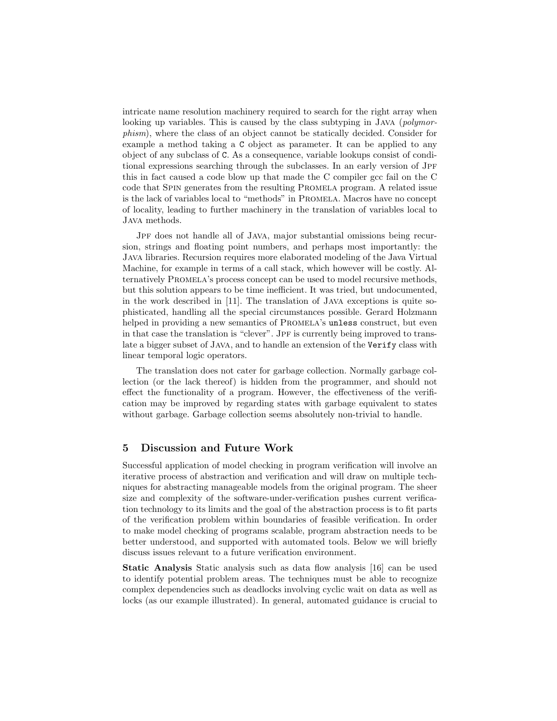intricate name resolution machinery required to search for the right array when looking up variables. This is caused by the class subtyping in JAVA (*polymor*phism), where the class of an object cannot be statically decided. Consider for example a method taking a C object as parameter. It can be applied to any object of any subclass of C. As a consequence, variable lookups consist of conditional expressions searching through the subclasses. In an early version of JPF this in fact caused a code blow up that made the C compiler gcc fail on the C code that Spin generates from the resulting Promela program. A related issue is the lack of variables local to "methods" in Promela. Macros have no concept of locality, leading to further machinery in the translation of variables local to Java methods.

JPF does not handle all of JAVA, major substantial omissions being recursion, strings and floating point numbers, and perhaps most importantly: the Java libraries. Recursion requires more elaborated modeling of the Java Virtual Machine, for example in terms of a call stack, which however will be costly. Alternatively Promela's process concept can be used to model recursive methods, but this solution appears to be time inefficient. It was tried, but undocumented, in the work described in [11]. The translation of Java exceptions is quite sophisticated, handling all the special circumstances possible. Gerard Holzmann helped in providing a new semantics of PROMELA's unless construct, but even in that case the translation is "clever". JPF is currently being improved to translate a bigger subset of Java, and to handle an extension of the Verify class with linear temporal logic operators.

The translation does not cater for garbage collection. Normally garbage collection (or the lack thereof) is hidden from the programmer, and should not effect the functionality of a program. However, the effectiveness of the verification may be improved by regarding states with garbage equivalent to states without garbage. Garbage collection seems absolutely non-trivial to handle.

# **5 Discussion and Future Work**

Successful application of model checking in program verification will involve an iterative process of abstraction and verification and will draw on multiple techniques for abstracting manageable models from the original program. The sheer size and complexity of the software-under-verification pushes current verification technology to its limits and the goal of the abstraction process is to fit parts of the verification problem within boundaries of feasible verification. In order to make model checking of programs scalable, program abstraction needs to be better understood, and supported with automated tools. Below we will briefly discuss issues relevant to a future verification environment.

**Static Analysis** Static analysis such as data flow analysis [16] can be used to identify potential problem areas. The techniques must be able to recognize complex dependencies such as deadlocks involving cyclic wait on data as well as locks (as our example illustrated). In general, automated guidance is crucial to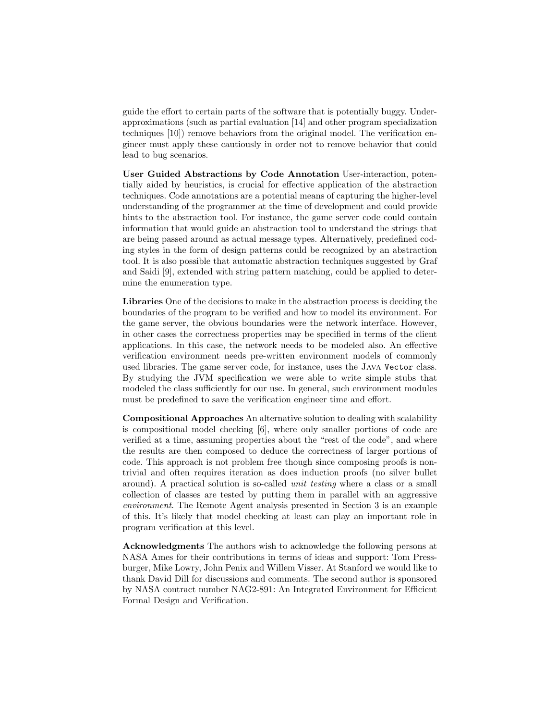guide the effort to certain parts of the software that is potentially buggy. Underapproximations (such as partial evaluation [14] and other program specialization techniques [10]) remove behaviors from the original model. The verification engineer must apply these cautiously in order not to remove behavior that could lead to bug scenarios.

**User Guided Abstractions by Code Annotation** User-interaction, potentially aided by heuristics, is crucial for effective application of the abstraction techniques. Code annotations are a potential means of capturing the higher-level understanding of the programmer at the time of development and could provide hints to the abstraction tool. For instance, the game server code could contain information that would guide an abstraction tool to understand the strings that are being passed around as actual message types. Alternatively, predefined coding styles in the form of design patterns could be recognized by an abstraction tool. It is also possible that automatic abstraction techniques suggested by Graf and Saidi [9], extended with string pattern matching, could be applied to determine the enumeration type.

**Libraries** One of the decisions to make in the abstraction process is deciding the boundaries of the program to be verified and how to model its environment. For the game server, the obvious boundaries were the network interface. However, in other cases the correctness properties may be specified in terms of the client applications. In this case, the network needs to be modeled also. An effective verification environment needs pre-written environment models of commonly used libraries. The game server code, for instance, uses the Java Vector class. By studying the JVM specification we were able to write simple stubs that modeled the class sufficiently for our use. In general, such environment modules must be predefined to save the verification engineer time and effort.

**Compositional Approaches** An alternative solution to dealing with scalability is compositional model checking [6], where only smaller portions of code are verified at a time, assuming properties about the "rest of the code", and where the results are then composed to deduce the correctness of larger portions of code. This approach is not problem free though since composing proofs is nontrivial and often requires iteration as does induction proofs (no silver bullet around). A practical solution is so-called unit testing where a class or a small collection of classes are tested by putting them in parallel with an aggressive environment. The Remote Agent analysis presented in Section 3 is an example of this. It's likely that model checking at least can play an important role in program verification at this level.

**Acknowledgments** The authors wish to acknowledge the following persons at NASA Ames for their contributions in terms of ideas and support: Tom Pressburger, Mike Lowry, John Penix and Willem Visser. At Stanford we would like to thank David Dill for discussions and comments. The second author is sponsored by NASA contract number NAG2-891: An Integrated Environment for Efficient Formal Design and Verification.